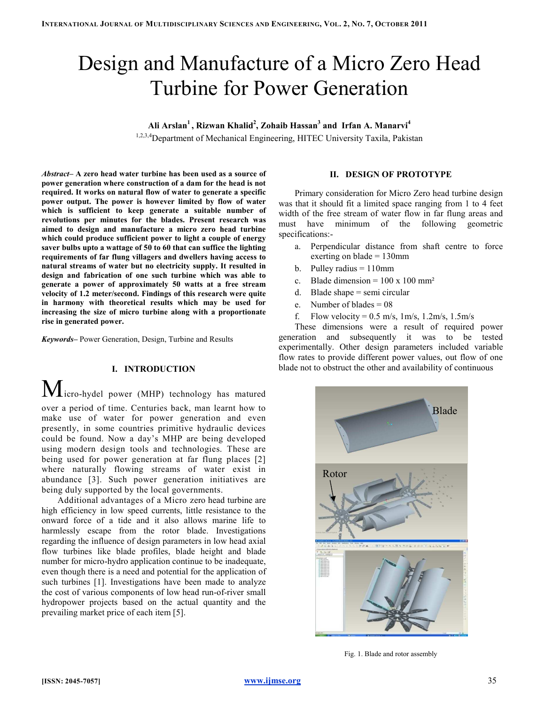# Design and Manufacture of a Micro Zero Head Turbine for Power Generation

Ali Arslan $^1$ , Rizwan Khalid $^2$ , Zohaib Hassan $^3$  and Irfan A. Manarvi $^4$ 

1,2,3,4 Department of Mechanical Engineering, HITEC University Taxila, Pakistan

Abstract– A zero head water turbine has been used as a source of power generation where construction of a dam for the head is not required. It works on natural flow of water to generate a specific power output. The power is however limited by flow of water which is sufficient to keep generate a suitable number of revolutions per minutes for the blades. Present research was aimed to design and manufacture a micro zero head turbine which could produce sufficient power to light a couple of energy saver bulbs upto a wattage of 50 to 60 that can suffice the lighting requirements of far flung villagers and dwellers having access to natural streams of water but no electricity supply. It resulted in design and fabrication of one such turbine which was able to generate a power of approximately 50 watts at a free stream velocity of 1.2 meter/second. Findings of this research were quite in harmony with theoretical results which may be used for increasing the size of micro turbine along with a proportionate rise in generated power.

Keywords– Power Generation, Design, Turbine and Results

## I. INTRODUCTION

 $M$ icro-hydel power (MHP) technology has matured over a period of time. Centuries back, man learnt how to make use of water for power generation and even presently, in some countries primitive hydraulic devices could be found. Now a day's MHP are being developed using modern design tools and technologies. These are being used for power generation at far flung places [2] where naturally flowing streams of water exist in abundance [3]. Such power generation initiatives are being duly supported by the local governments.

Additional advantages of a Micro zero head turbine are high efficiency in low speed currents, little resistance to the onward force of a tide and it also allows marine life to harmlessly escape from the rotor blade. Investigations regarding the influence of design parameters in low head axial flow turbines like blade profiles, blade height and blade number for micro-hydro application continue to be inadequate, even though there is a need and potential for the application of such turbines [1]. Investigations have been made to analyze the cost of various components of low head run-of-river small hydropower projects based on the actual quantity and the prevailing market price of each item [5].

## II. DESIGN OF PROTOTYPE

Primary consideration for Micro Zero head turbine design was that it should fit a limited space ranging from 1 to 4 feet width of the free stream of water flow in far flung areas and must have minimum of the following geometric specifications:-

- a. Perpendicular distance from shaft centre to force exerting on blade  $= 130$ mm
- b. Pulley radius  $= 110$ mm
- c. Blade dimension =  $100 \times 100$  mm<sup>2</sup>
- d. Blade shape = semi circular
- e. Number of blades  $= 08$
- f. Flow velocity =  $0.5$  m/s,  $1 \text{ m/s}$ ,  $1.2 \text{ m/s}$ ,  $1.5 \text{ m/s}$

These dimensions were a result of required power generation and subsequently it was to be tested experimentally. Other design parameters included variable flow rates to provide different power values, out flow of one blade not to obstruct the other and availability of continuous



Fig. 1. Blade and rotor assembly

[ISSN: 2045-7057] www.ijmse.org 35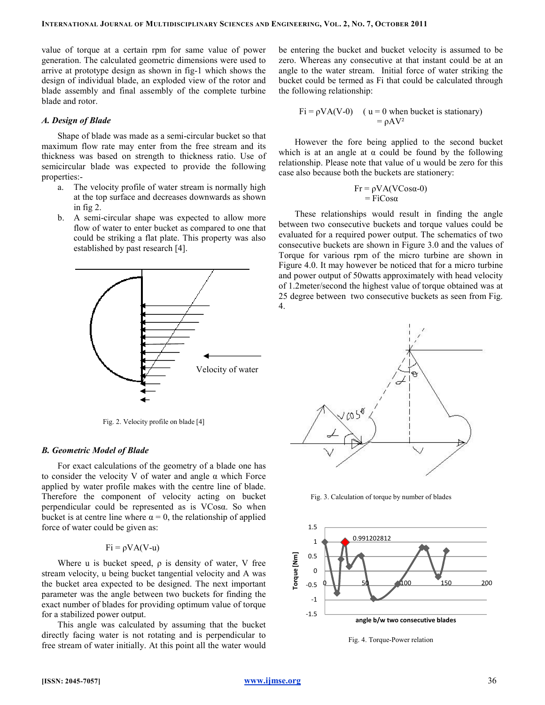value of torque at a certain rpm for same value of power generation. The calculated geometric dimensions were used to arrive at prototype design as shown in fig-1 which shows the design of individual blade, an exploded view of the rotor and blade assembly and final assembly of the complete turbine blade and rotor.

#### A. Design of Blade

Shape of blade was made as a semi-circular bucket so that maximum flow rate may enter from the free stream and its thickness was based on strength to thickness ratio. Use of semicircular blade was expected to provide the following properties:-

- a. The velocity profile of water stream is normally high at the top surface and decreases downwards as shown in fig 2.
- b. A semi-circular shape was expected to allow more flow of water to enter bucket as compared to one that could be striking a flat plate. This property was also established by past research [4].



Fig. 2. Velocity profile on blade [4]

#### B. Geometric Model of Blade

For exact calculations of the geometry of a blade one has to consider the velocity V of water and angle α which Force applied by water profile makes with the centre line of blade. Therefore the component of velocity acting on bucket perpendicular could be represented as is VCosα. So when bucket is at centre line where  $\alpha = 0$ , the relationship of applied force of water could be given as:

## $Fi = \rho VA(V-u)$

Where u is bucket speed,  $\rho$  is density of water, V free stream velocity, u being bucket tangential velocity and A was the bucket area expected to be designed. The next important parameter was the angle between two buckets for finding the exact number of blades for providing optimum value of torque for a stabilized power output.

This angle was calculated by assuming that the bucket directly facing water is not rotating and is perpendicular to free stream of water initially. At this point all the water would be entering the bucket and bucket velocity is assumed to be zero. Whereas any consecutive at that instant could be at an angle to the water stream. Initial force of water striking the bucket could be termed as Fi that could be calculated through the following relationship:

$$
Fi = \rho VA(V-0) \quad (u = 0 \text{ when bucket is stationary})
$$

$$
= \rho AV^2
$$

However the fore being applied to the second bucket which is at an angle at  $\alpha$  could be found by the following relationship. Please note that value of u would be zero for this case also because both the buckets are stationery:

$$
Fr = \rho VA(VCos\alpha-0)
$$
  
= FiCos\alpha

These relationships would result in finding the angle between two consecutive buckets and torque values could be evaluated for a required power output. The schematics of two consecutive buckets are shown in Figure 3.0 and the values of Torque for various rpm of the micro turbine are shown in Figure 4.0. It may however be noticed that for a micro turbine and power output of 50watts approximately with head velocity of 1.2meter/second the highest value of torque obtained was at 25 degree between two consecutive buckets as seen from Fig. 4.



Fig. 3. Calculation of torque by number of blades



Fig. 4. Torque-Power relation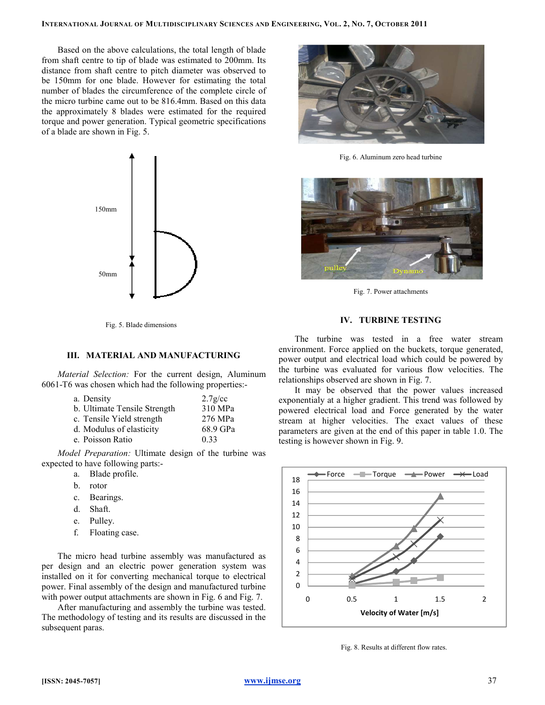Based on the above calculations, the total length of blade from shaft centre to tip of blade was estimated to 200mm. Its distance from shaft centre to pitch diameter was observed to be 150mm for one blade. However for estimating the total number of blades the circumference of the complete circle of the micro turbine came out to be 816.4mm. Based on this data the approximately 8 blades were estimated for the required torque and power generation. Typical geometric specifications of a blade are shown in Fig. 5.



Fig. 5. Blade dimensions

#### III. MATERIAL AND MANUFACTURING

Material Selection: For the current design, Aluminum 6061-T6 was chosen which had the following properties:-

| a. Density                   | $2.7$ g/cc |
|------------------------------|------------|
| b. Ultimate Tensile Strength | 310 MPa    |
| c. Tensile Yield strength    | 276 MPa    |
| d. Modulus of elasticity     | 68.9 GPa   |
| e. Poisson Ratio             | 0.33       |

Model Preparation: Ultimate design of the turbine was expected to have following parts:-

- a. Blade profile.
- b. rotor
- c. Bearings.
- d. Shaft.
- e. Pulley.
- f. Floating case.

The micro head turbine assembly was manufactured as per design and an electric power generation system was installed on it for converting mechanical torque to electrical power. Final assembly of the design and manufactured turbine with power output attachments are shown in Fig. 6 and Fig. 7.

After manufacturing and assembly the turbine was tested. The methodology of testing and its results are discussed in the subsequent paras.



Fig. 6. Aluminum zero head turbine



Fig. 7. Power attachments

### IV. TURBINE TESTING

The turbine was tested in a free water stream environment. Force applied on the buckets, torque generated, power output and electrical load which could be powered by the turbine was evaluated for various flow velocities. The relationships observed are shown in Fig. 7.

It may be observed that the power values increased exponentialy at a higher gradient. This trend was followed by powered electrical load and Force generated by the water stream at higher velocities. The exact values of these parameters are given at the end of this paper in table 1.0. The testing is however shown in Fig. 9.



Fig. 8. Results at different flow rates.

[ISSN: 2045-7057] www.ijmse.org 37